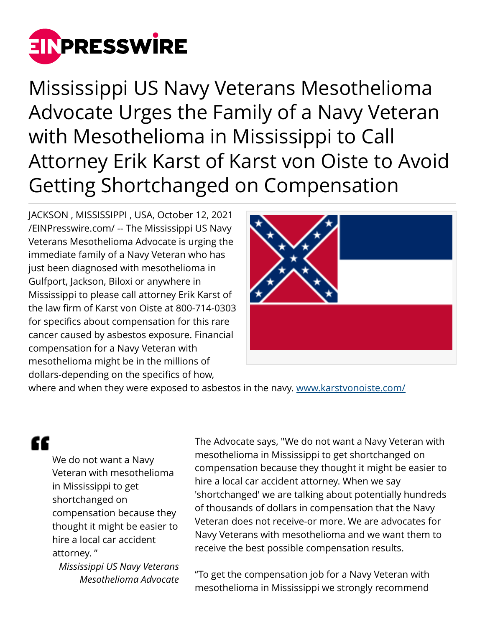

Mississippi US Navy Veterans Mesothelioma Advocate Urges the Family of a Navy Veteran with Mesothelioma in Mississippi to Call Attorney Erik Karst of Karst von Oiste to Avoid Getting Shortchanged on Compensation

JACKSON , MISSISSIPPI , USA, October 12, 2021 [/EINPresswire.com/](http://www.einpresswire.com) -- The Mississippi US Navy Veterans Mesothelioma Advocate is urging the immediate family of a Navy Veteran who has just been diagnosed with mesothelioma in Gulfport, Jackson, Biloxi or anywhere in Mississippi to please call attorney Erik Karst of the law firm of Karst von Oiste at 800-714-0303 for specifics about compensation for this rare cancer caused by asbestos exposure. Financial compensation for a Navy Veteran with mesothelioma might be in the millions of dollars-depending on the specifics of how,



where and when they were exposed to asbestos in the navy. [www.karstvonoiste.com/](http://www.karstvonoiste.com/)

## "

We do not want a Navy Veteran with mesothelioma in Mississippi to get shortchanged on compensation because they thought it might be easier to hire a local car accident attorney. "

*Mississippi US Navy Veterans Mesothelioma Advocate* The Advocate says, "We do not want a Navy Veteran with mesothelioma in Mississippi to get shortchanged on compensation because they thought it might be easier to hire a local car accident attorney. When we say 'shortchanged' we are talking about potentially hundreds of thousands of dollars in compensation that the Navy Veteran does not receive-or more. We are advocates for Navy Veterans with mesothelioma and we want them to receive the best possible compensation results.

"To get the compensation job for a Navy Veteran with mesothelioma in Mississippi we strongly recommend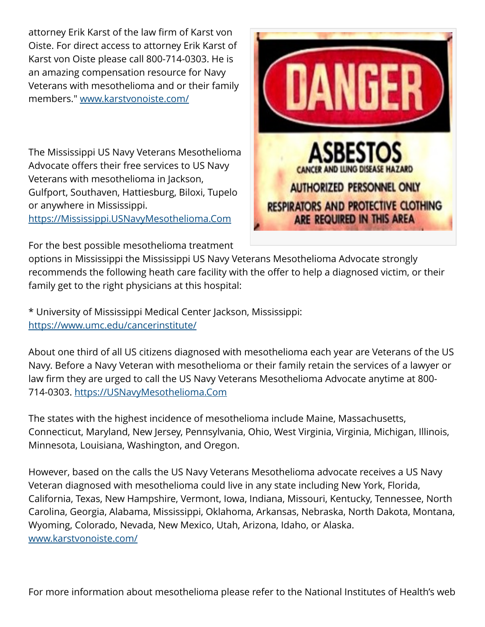attorney Erik Karst of the law firm of Karst von Oiste. For direct access to attorney Erik Karst of Karst von Oiste please call 800-714-0303. He is an amazing compensation resource for Navy Veterans with mesothelioma and or their family members." [www.karstvonoiste.com/](http://www.karstvonoiste.com/) 

The Mississippi US Navy Veterans Mesothelioma Advocate offers their free services to US Navy Veterans with mesothelioma in Jackson, Gulfport, Southaven, Hattiesburg, Biloxi, Tupelo or anywhere in Mississippi.

<https://Mississippi.USNavyMesothelioma.Com>

For the best possible mesothelioma treatment



options in Mississippi the Mississippi US Navy Veterans Mesothelioma Advocate strongly recommends the following heath care facility with the offer to help a diagnosed victim, or their family get to the right physicians at this hospital:

\* University of Mississippi Medical Center Jackson, Mississippi: <https://www.umc.edu/cancerinstitute/>

About one third of all US citizens diagnosed with mesothelioma each year are Veterans of the US Navy. Before a Navy Veteran with mesothelioma or their family retain the services of a lawyer or law firm they are urged to call the US Navy Veterans Mesothelioma Advocate anytime at 800- 714-0303.<https://USNavyMesothelioma.Com>

The states with the highest incidence of mesothelioma include Maine, Massachusetts, Connecticut, Maryland, New Jersey, Pennsylvania, Ohio, West Virginia, Virginia, Michigan, Illinois, Minnesota, Louisiana, Washington, and Oregon.

However, based on the calls the US Navy Veterans Mesothelioma advocate receives a US Navy Veteran diagnosed with mesothelioma could live in any state including New York, Florida, California, Texas, New Hampshire, Vermont, Iowa, Indiana, Missouri, Kentucky, Tennessee, North Carolina, Georgia, Alabama, Mississippi, Oklahoma, Arkansas, Nebraska, North Dakota, Montana, Wyoming, Colorado, Nevada, New Mexico, Utah, Arizona, Idaho, or Alaska. [www.karstvonoiste.com/](http://www.karstvonoiste.com/)